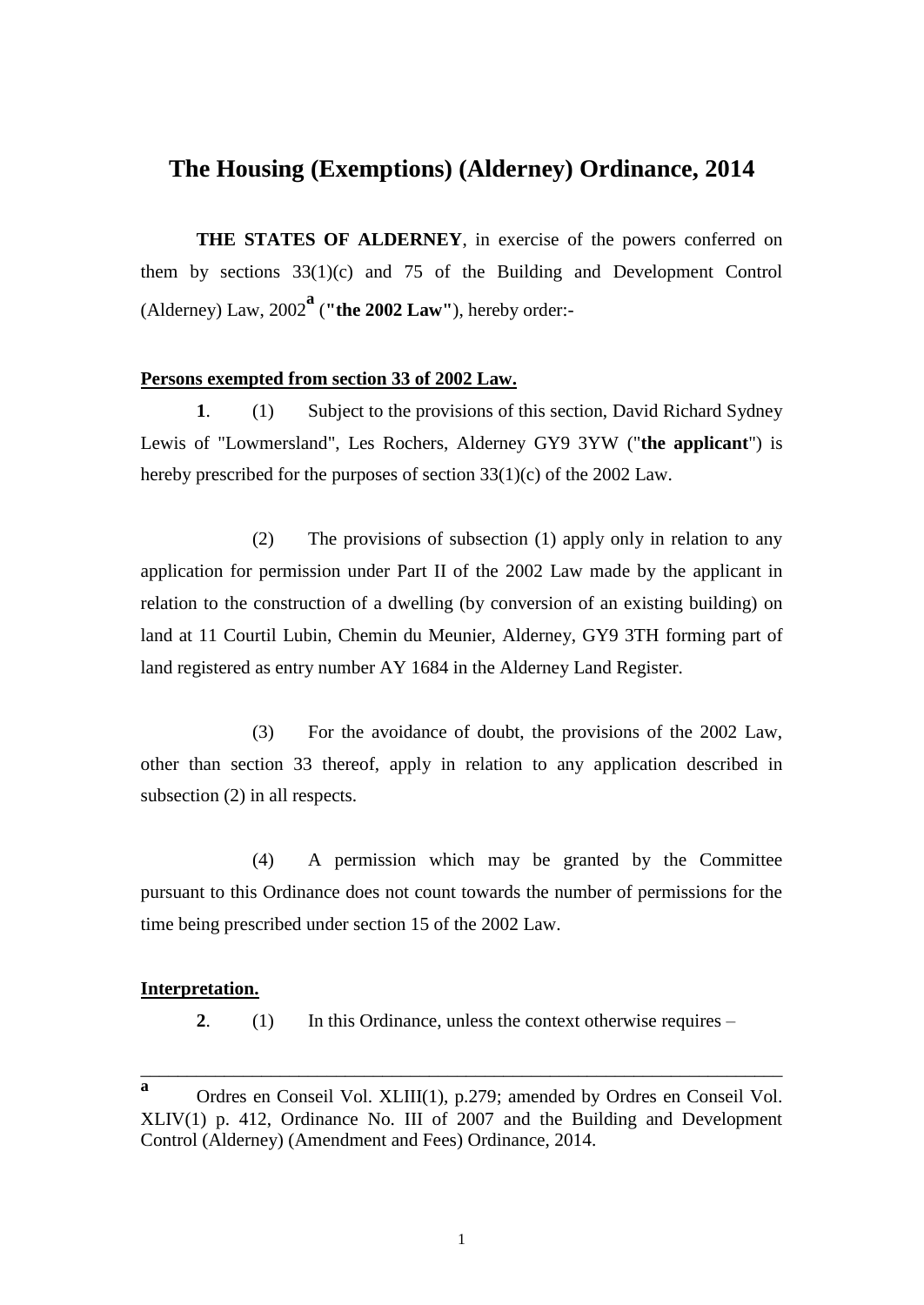## **The Housing (Exemptions) (Alderney) Ordinance, 2014**

**THE STATES OF ALDERNEY**, in exercise of the powers conferred on them by sections 33(1)(c) and 75 of the Building and Development Control (Alderney) Law,  $2002^{\mathbf{a}}$  ("the 2002 Law"), hereby order:-

## **Persons exempted from section 33 of 2002 Law.**

**1**. (1) Subject to the provisions of this section, David Richard Sydney Lewis of "Lowmersland", Les Rochers, Alderney GY9 3YW ("**the applicant**") is hereby prescribed for the purposes of section 33(1)(c) of the 2002 Law.

(2) The provisions of subsection (1) apply only in relation to any application for permission under Part II of the 2002 Law made by the applicant in relation to the construction of a dwelling (by conversion of an existing building) on land at 11 Courtil Lubin, Chemin du Meunier, Alderney, GY9 3TH forming part of land registered as entry number AY 1684 in the Alderney Land Register.

(3) For the avoidance of doubt, the provisions of the 2002 Law, other than section 33 thereof, apply in relation to any application described in subsection (2) in all respects.

(4) A permission which may be granted by the Committee pursuant to this Ordinance does not count towards the number of permissions for the time being prescribed under section 15 of the 2002 Law.

## **Interpretation.**

**2**. (1) In this Ordinance, unless the context otherwise requires –

\_\_\_\_\_\_\_\_\_\_\_\_\_\_\_\_\_\_\_\_\_\_\_\_\_\_\_\_\_\_\_\_\_\_\_\_\_\_\_\_\_\_\_\_\_\_\_\_\_\_\_\_\_\_\_\_\_\_\_\_\_\_\_\_\_\_\_\_\_

**a** Ordres en Conseil Vol. XLIII(1), p.279; amended by Ordres en Conseil Vol. XLIV(1) p. 412, Ordinance No. III of 2007 and the Building and Development Control (Alderney) (Amendment and Fees) Ordinance, 2014.